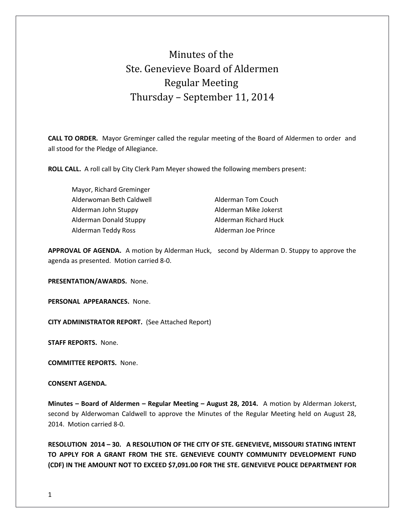# Minutes of the Ste. Genevieve Board of Aldermen Regular Meeting Thursday – September 11, 2014

**CALL TO ORDER.** Mayor Greminger called the regular meeting of the Board of Aldermen to order and all stood for the Pledge of Allegiance.

**ROLL CALL.** A roll call by City Clerk Pam Meyer showed the following members present:

Mayor, Richard Greminger Alderwoman Beth Caldwell **Alderman Tom Couch** Alderman John Stuppy **Alderman Mike Jokerst** Alderman Donald Stuppy **Alderman Richard Huck** Alderman Teddy Ross **Alderman Joe Prince** 

**APPROVAL OF AGENDA.** A motion by Alderman Huck, second by Alderman D. Stuppy to approve the agenda as presented. Motion carried 8-0.

**PRESENTATION/AWARDS.** None.

**PERSONAL APPEARANCES.** None.

**CITY ADMINISTRATOR REPORT.** (See Attached Report)

**STAFF REPORTS.** None.

**COMMITTEE REPORTS.** None.

### **CONSENT AGENDA.**

**Minutes – Board of Aldermen – Regular Meeting – August 28, 2014.** A motion by Alderman Jokerst, second by Alderwoman Caldwell to approve the Minutes of the Regular Meeting held on August 28, 2014. Motion carried 8-0.

**RESOLUTION 2014 – 30. A RESOLUTION OF THE CITY OF STE. GENEVIEVE, MISSOURI STATING INTENT TO APPLY FOR A GRANT FROM THE STE. GENEVIEVE COUNTY COMMUNITY DEVELOPMENT FUND (CDF) IN THE AMOUNT NOT TO EXCEED \$7,091.00 FOR THE STE. GENEVIEVE POLICE DEPARTMENT FOR**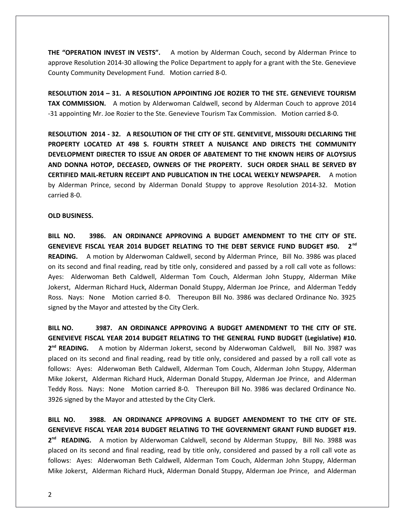**THE "OPERATION INVEST IN VESTS".** A motion by Alderman Couch, second by Alderman Prince to approve Resolution 2014-30 allowing the Police Department to apply for a grant with the Ste. Genevieve County Community Development Fund. Motion carried 8-0.

**RESOLUTION 2014 – 31. A RESOLUTION APPOINTING JOE ROZIER TO THE STE. GENEVIEVE TOURISM TAX COMMISSION.** A motion by Alderwoman Caldwell, second by Alderman Couch to approve 2014 -31 appointing Mr. Joe Rozier to the Ste. Genevieve Tourism Tax Commission. Motion carried 8-0.

**RESOLUTION 2014 - 32. A RESOLUTION OF THE CITY OF STE. GENEVIEVE, MISSOURI DECLARING THE PROPERTY LOCATED AT 498 S. FOURTH STREET A NUISANCE AND DIRECTS THE COMMUNITY DEVELOPMENT DIRECTER TO ISSUE AN ORDER OF ABATEMENT TO THE KNOWN HEIRS OF ALOYSIUS AND DONNA HOTOP, DECEASED, OWNERS OF THE PROPERTY. SUCH ORDER SHALL BE SERVED BY CERTIFIED MAIL-RETURN RECEIPT AND PUBLICATION IN THE LOCAL WEEKLY NEWSPAPER.** A motion by Alderman Prince, second by Alderman Donald Stuppy to approve Resolution 2014-32. Motion carried 8-0.

#### **OLD BUSINESS.**

**BILL NO. 3986. AN ORDINANCE APPROVING A BUDGET AMENDMENT TO THE CITY OF STE. GENEVIEVE FISCAL YEAR 2014 BUDGET RELATING TO THE DEBT SERVICE FUND BUDGET #50. 2 nd READING.** A motion by Alderwoman Caldwell, second by Alderman Prince, Bill No. 3986 was placed on its second and final reading, read by title only, considered and passed by a roll call vote as follows: Ayes: Alderwoman Beth Caldwell, Alderman Tom Couch, Alderman John Stuppy, Alderman Mike Jokerst, Alderman Richard Huck, Alderman Donald Stuppy, Alderman Joe Prince, and Alderman Teddy Ross. Nays: None Motion carried 8-0. Thereupon Bill No. 3986 was declared Ordinance No. 3925 signed by the Mayor and attested by the City Clerk.

**BILL NO. 3987. AN ORDINANCE APPROVING A BUDGET AMENDMENT TO THE CITY OF STE. GENEVIEVE FISCAL YEAR 2014 BUDGET RELATING TO THE GENERAL FUND BUDGET (Legislative) #10.** 2<sup>nd</sup> READING. A motion by Alderman Jokerst, second by Alderwoman Caldwell, Bill No. 3987 was placed on its second and final reading, read by title only, considered and passed by a roll call vote as follows: Ayes: Alderwoman Beth Caldwell, Alderman Tom Couch, Alderman John Stuppy, Alderman Mike Jokerst, Alderman Richard Huck, Alderman Donald Stuppy, Alderman Joe Prince, and Alderman Teddy Ross. Nays: None Motion carried 8-0. Thereupon Bill No. 3986 was declared Ordinance No. 3926 signed by the Mayor and attested by the City Clerk.

**BILL NO. 3988. AN ORDINANCE APPROVING A BUDGET AMENDMENT TO THE CITY OF STE. GENEVIEVE FISCAL YEAR 2014 BUDGET RELATING TO THE GOVERNMENT GRANT FUND BUDGET #19.** 2<sup>nd</sup> READING. A motion by Alderwoman Caldwell, second by Alderman Stuppy, Bill No. 3988 was placed on its second and final reading, read by title only, considered and passed by a roll call vote as follows: Ayes: Alderwoman Beth Caldwell, Alderman Tom Couch, Alderman John Stuppy, Alderman Mike Jokerst, Alderman Richard Huck, Alderman Donald Stuppy, Alderman Joe Prince, and Alderman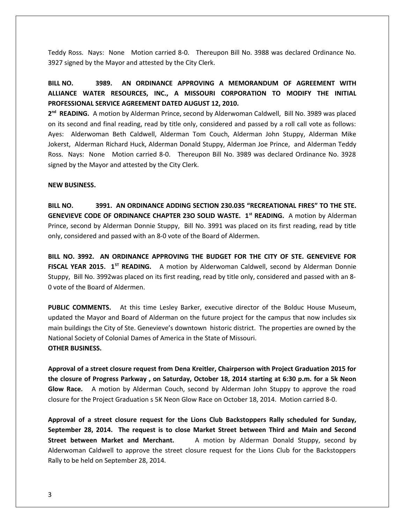Teddy Ross. Nays: None Motion carried 8-0. Thereupon Bill No. 3988 was declared Ordinance No. 3927 signed by the Mayor and attested by the City Clerk.

## **BILL NO. 3989. AN ORDINANCE APPROVING A MEMORANDUM OF AGREEMENT WITH ALLIANCE WATER RESOURCES, INC., A MISSOURI CORPORATION TO MODIFY THE INITIAL PROFESSIONAL SERVICE AGREEMENT DATED AUGUST 12, 2010.**

2<sup>nd</sup> READING. A motion by Alderman Prince, second by Alderwoman Caldwell, Bill No. 3989 was placed on its second and final reading, read by title only, considered and passed by a roll call vote as follows: Ayes: Alderwoman Beth Caldwell, Alderman Tom Couch, Alderman John Stuppy, Alderman Mike Jokerst, Alderman Richard Huck, Alderman Donald Stuppy, Alderman Joe Prince, and Alderman Teddy Ross. Nays: None Motion carried 8-0. Thereupon Bill No. 3989 was declared Ordinance No. 3928 signed by the Mayor and attested by the City Clerk.

#### **NEW BUSINESS.**

**BILL NO. 3991. AN ORDINANCE ADDING SECTION 230.035 "RECREATIONAL FIRES" TO THE STE. GENEVIEVE CODE OF ORDINANCE CHAPTER 23O SOLID WASTE. 1st READING.** A motion by Alderman Prince, second by Alderman Donnie Stuppy, Bill No. 3991 was placed on its first reading, read by title only, considered and passed with an 8-0 vote of the Board of Aldermen.

**BILL NO. 3992. AN ORDINANCE APPROVING THE BUDGET FOR THE CITY OF STE. GENEVIEVE FOR FISCAL YEAR 2015. 1ST READING.** A motion by Alderwoman Caldwell, second by Alderman Donnie Stuppy, Bill No. 3992was placed on its first reading, read by title only, considered and passed with an 8- 0 vote of the Board of Aldermen.

**PUBLIC COMMENTS.** At this time Lesley Barker, executive director of the Bolduc House Museum, updated the Mayor and Board of Alderman on the future project for the campus that now includes six main buildings the City of Ste. Genevieve's downtown historic district. The properties are owned by the National Society of Colonial Dames of America in the State of Missouri. **OTHER BUSINESS.**

**Approval of a street closure request from Dena Kreitler, Chairperson with Project Graduation 2015 for the closure of Progress Parkway , on Saturday, October 18, 2014 starting at 6:30 p.m. for a 5k Neon Glow Race.** A motion by Alderman Couch, second by Alderman John Stuppy to approve the road closure for the Project Graduation s 5K Neon Glow Race on October 18, 2014. Motion carried 8-0.

**Approval of a street closure request for the Lions Club Backstoppers Rally scheduled for Sunday, September 28, 2014. The request is to close Market Street between Third and Main and Second Street between Market and Merchant.** A motion by Alderman Donald Stuppy, second by Alderwoman Caldwell to approve the street closure request for the Lions Club for the Backstoppers Rally to be held on September 28, 2014.